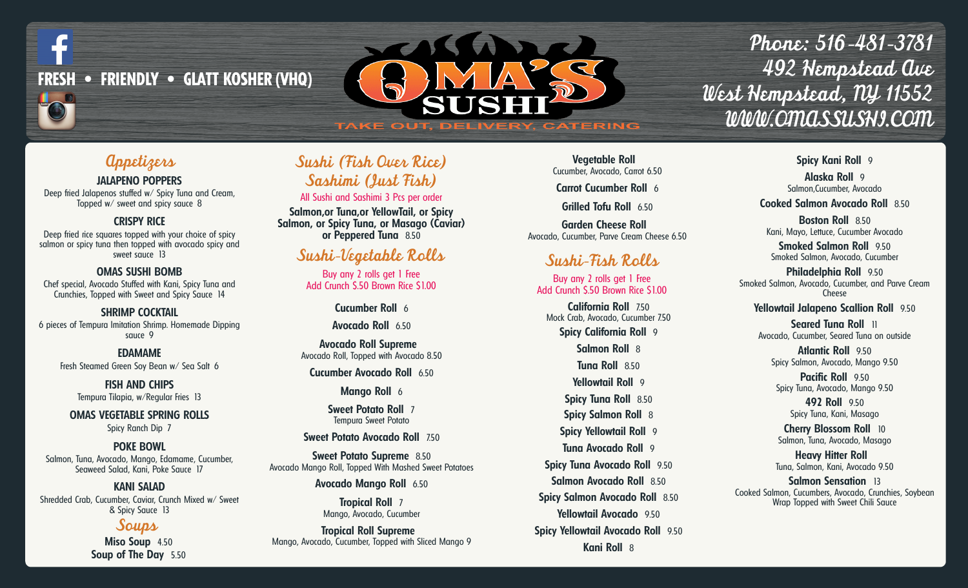

# **TAKE OUT, DELIVERY, CATERING**

Phone: 516-481-3781 492 Hempstead Ave West Hempstead, NY 11552 WWW.OMASSUSHI.COM

# Appetizers

**JALAPENO POPPERS**

Deep fried Jalapenos stuffed w/ Spicy Tuna and Cream, Topped w/ sweet and spicy sauce 8

### **CRISPY RICE**

Deep fried rice squares topped with your choice of spicy salmon or spicy tuna then topped with avocado spicy and sweet sauce 13

**OMAS SUSHI BOMB** Chef special, Avocado Stuffed with Kani, Spicy Tuna and Crunchies, Topped with Sweet and Spicy Sauce 14

**SHRIMP COCKTAIL** 6 pieces of Tempura Imitation Shrimp. Homemade Dipping sauce 9

**EDAMAME** Fresh Steamed Green Soy Bean w/ Sea Salt 6

> **FISH AND CHIPS** Tempura Tilapia, w/Regular Fries 13

**OMAS VEGETABLE SPRING ROLLS** Spicy Ranch Dip 7

**POKE BOWL** Salmon, Tuna, Avocado, Mango, Edamame, Cucumber, Seaweed Salad, Kani, Poke Sauce 17

**KANI SALAD** Shredded Crab, Cucumber, Caviar, Crunch Mixed w/ Sweet & Spicy Sauce 13

### Soups

**Miso Soup** 4.50 **Soup of The Day** 5.50

# Sushi (Fish Over Rice) Sashimi (Just Fish)

All Sushi and Sashimi 3 Pcs per order

**Salmon,or Tuna,or YellowTail, or Spicy Salmon, or Spicy Tuna, or Masago (Caviar) or Peppered Tuna** 8.50

## Sushi-Vegetable Rolls

Buy any 2 rolls get 1 Free Add Crunch \$.50 Brown Rice \$1.00

> **Cucumber Roll** 6 **Avocado Roll** 6.50

**Avocado Roll Supreme** Avocado Roll, Topped with Avocado 8.50 **Cucumber Avocado Roll** 6.50

**Mango Roll** 6

**Sweet Potato Roll** 7 Tempura Sweet Potato

**Sweet Potato Avocado Roll** 7.50

**Sweet Potato Supreme** 8.50 Avocado Mango Roll, Topped With Mashed Sweet Potatoes

**Avocado Mango Roll** 6.50

**Tropical Roll** 7 Mango, Avocado, Cucumber

**Tropical Roll Supreme** Mango, Avocado, Cucumber, Topped with Sliced Mango 9

**Vegetable Roll** Cucumber, Avocado, Carrot 6.50

**Carrot Cucumber Roll** 6

**Grilled Tofu Roll** 6.50

**Garden Cheese Roll** Avocado, Cucumber, Parve Cream Cheese 6.50

# Sushi-Fish Rolls

Buy any 2 rolls get 1 Free Add Crunch \$.50 Brown Rice \$1.00

**California Roll** 7.50 Mock Crab, Avocado, Cucumber 7.50

**Spicy California Roll** 9

**Salmon Roll** 8 **Tuna Roll** 8.50 **Yellowtail Roll** 9

**Spicy Tuna Roll** 8.50

**Spicy Salmon Roll** 8

**Spicy Yellowtail Roll** 9

**Tuna Avocado Roll** 9 **Spicy Tuna Avocado Roll** 9.50 **Salmon Avocado Roll** 8.50 **Spicy Salmon Avocado Roll** 8.50 **Yellowtail Avocado** 9.50 **Spicy Yellowtail Avocado Roll** 9.50 **Kani Roll** 8

**Spicy Kani Roll** 9

**Alaska Roll** 9 Salmon,Cucumber, Avocado

**Cooked Salmon Avocado Roll** 8.50

**Boston Roll** 8.50 Kani, Mayo, Lettuce, Cucumber Avocado

**Smoked Salmon Roll** 9.50 Smoked Salmon, Avocado, Cucumber

**Philadelphia Roll** 9.50 Smoked Salmon, Avocado, Cucumber, and Parve Cream Cheese

**Yellowtail Jalapeno Scallion Roll** 9.50

**Seared Tuna Roll** 11 Avocado, Cucumber, Seared Tuna on outside

**Atlantic Roll** 9.50 Spicy Salmon, Avocado, Mango 9.50

**Pacific Roll** 9.50 Spicy Tuna, Avocado, Mango 9.50

> **492 Roll** 9.50 Spicy Tuna, Kani, Masago

**Cherry Blossom Roll** 10 Salmon, Tuna, Avocado, Masago

**Heavy Hitter Roll** Tuna, Salmon, Kani, Avocado 9.50

**Salmon Sensation** 13 Cooked Salmon, Cucumbers, Avocado, Crunchies, Soybean Wrap Topped with Sweet Chili Sauce